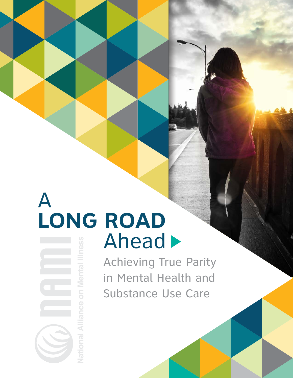# A **LONG ROAD** Ahead  $\blacktriangleright$

lational Al

Achieving True Parity in Mental Health and Substance Use Care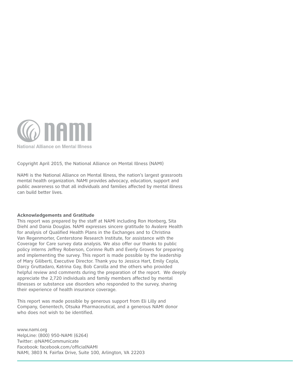

Copyright April 2015, the National Alliance on Mental Illness (NAMI)

NAMI is the National Alliance on Mental Illness, the nation's largest grassroots mental health organization. NAMI provides advocacy, education, support and public awareness so that all individuals and families affected by mental illness can build better lives.

#### **Acknowledgements and Gratitude**

This report was prepared by the staff at NAMI including Ron Honberg, Sita Diehl and Dania Douglas. NAMI expresses sincere gratitude to Avalere Health for analysis of Qualified Health Plans in the Exchanges and to Christina Van Regenmorter, Centerstone Research Institute, for assistance with the Coverage for Care survey data analysis. We also offer our thanks to public policy interns Jeffrey Roberson, Corinne Ruth and Everly Groves for preparing and implementing the survey. This report is made possible by the leadership of Mary Giliberti, Executive Director. Thank you to Jessica Hart, Emily Cepla, Darcy Gruttadaro, Katrina Gay, Bob Carolla and the others who provided helpful review and comments during the preparation of the report. We deeply appreciate the 2,720 individuals and family members affected by mental illnesses or substance use disorders who responded to the survey, sharing their experience of health insurance coverage.

This report was made possible by generous support from Eli Lilly and Company, Genentech, Otsuka Pharmaceutical, and a generous NAMI donor who does not wish to be identified.

www.nami.org HelpLine: (800) 950-NAMI (6264) Twitter: @NAMICommunicate Facebook: facebook.com/officialNAMI NAMI, 3803 N. Fairfax Drive, Suite 100, Arlington, VA 22203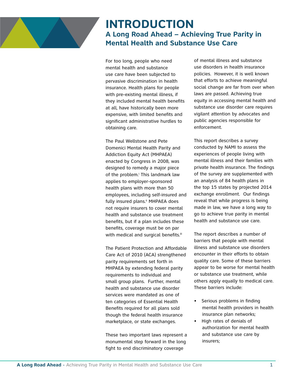

## **INTRODUCTION A Long Road Ahead – Achieving True Parity in Mental Health and Substance Use Care**

For too long, people who need mental health and substance use care have been subjected to pervasive discrimination in health insurance. Health plans for people with pre-existing mental illness, if they included mental health benefits at all, have historically been more expensive, with limited benefits and significant administrative hurdles to obtaining care.

The Paul Wellstone and Pete Domenici Mental Health Parity and Addiction Equity Act (MHPAEA) enacted by Congress in 2008, was designed to remedy a major piece of the problem.<sup>i</sup> This landmark law applies to employer-sponsored health plans with more than 50 employees, including self-insured and fully insured plans.<sup>ii</sup> MHPAEA does not require insurers to cover mental health and substance use treatment benefits, but if a plan includes these benefits, coverage must be on par with medical and surgical benefits.<sup>iii</sup>

The Patient Protection and Affordable Care Act of 2010 (ACA) strengthened parity requirements set forth in MHPAEA by extending federal parity requirements to individual and small group plans. Further, mental health and substance use disorder services were mandated as one of ten categories of Essential Health Benefits required for all plans sold though the federal health insurance marketplace, or state exchanges.

These two important laws represent a monumental step forward in the long fight to end discriminatory coverage

of mental illness and substance use disorders in health insurance policies. However, it is well known that efforts to achieve meaningful social change are far from over when laws are passed. Achieving true equity in accessing mental health and substance use disorder care requires vigilant attention by advocates and public agencies responsible for enforcement.

This report describes a survey conducted by NAMI to assess the experiences of people living with mental illness and their families with private health insurance. The findings of the survey are supplemented with an analysis of 84 health plans in the top 15 states by projected 2014 exchange enrollment. Our findings reveal that while progress is being made in law, we have a long way to go to achieve true parity in mental health and substance use care.

The report describes a number of barriers that people with mental illness and substance use disorders encounter in their efforts to obtain quality care. Some of these barriers appear to be worse for mental health or substance use treatment, while others apply equally to medical care. These barriers include:

- Serious problems in finding mental health providers in health insurance plan networks;
- • High rates of denials of authorization for mental health and substance use care by insurers;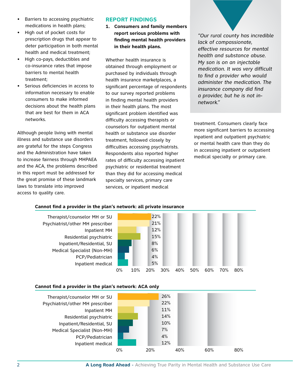- Barriers to accessing psychiatric medications in health plans;
- • High out of pocket costs for prescription drugs that appear to deter participation in both mental health and medical treatment;
- High co-pays, deductibles and co-insurance rates that impose barriers to mental health treatment;
- Serious deficiencies in access to information necessary to enable consumers to make informed decisions about the health plans that are best for them in ACA networks.

Although people living with mental illness and substance use disorders are grateful for the steps Congress and the Administration have taken to increase fairness through MHPAEA and the ACA, the problems described in this report must be addressed for the great promise of these landmark laws to translate into improved access to quality care.

#### **Report Findings**

**1. Consumers and family members report serious problems with finding mental health providers in their health plans.** 

Whether health insurance is obtained through employment or purchased by individuals through health insurance marketplaces, a significant percentage of respondents to our survey reported problems in finding mental health providers in their health plans. The most significant problem identified was difficulty accessing therapists or counselors for outpatient mental health or substance use disorder treatment, followed closely by difficulties accessing psychiatrists. Respondents also reported higher rates of difficulty accessing inpatient psychiatric or residential treatment than they did for accessing medical specialty services, primary care services, or inpatient medical

*"Our rural county has incredible lack of compassionate, effective resources for mental health and substance abuse. My son is on an injectable medication. It was very difficult to find a provider who would administer the medication. The insurance company did find a provider, but he is not innetwork."* 

treatment. Consumers clearly face more significant barriers to accessing inpatient and outpatient psychiatric or mental health care than they do in accessing inpatient or outpatient medical specialty or primary care.

#### **Cannot find a provider in the plan's network: all private insurance**

Therapist/counselor MH or SU Psychiatrist/other MH prescriber Inpatient MH Residential psychiatric Inpatient/Residential, SU Medical Specialist (Non-MH) PCP/Pediatrician Inpatient medical



#### **Cannot find a provider in the plan's network: ACA only**

Therapist/counselor MH or SU Psychiatrist/other MH prescriber Inpatient MH Residential psychiatric Inpatient/Residential, SU Medical Specialist (Non-MH) PCP/Pediatrician Inpatient medical

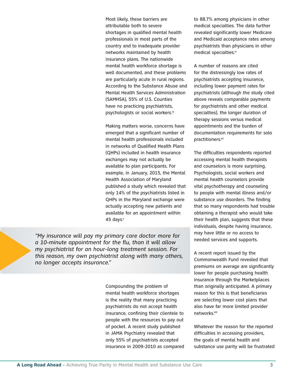Most likely, these barriers are attributable both to severe shortages in qualified mental health professionals in most parts of the country and to inadequate provider networks maintained by health insurance plans. The nationwide mental health workforce shortage is well documented, and these problems are particularly acute in rural regions. According to the Substance Abuse and Mental Health Services Administration (SAMHSA), 55% of U.S. Counties have no practicing psychiatrists, psychologists or social workers.iv

Making matters worse, concerns have emerged that a significant number of mental health professionals included in networks of Qualified Health Plans (QHPs) included in health insurance exchanges may not actually be available to plan participants. For example, in January, 2015, the Mental Health Association of Maryland published a study which revealed that only 14% of the psychiatrists listed in QHPs in the Maryland exchange were actually accepting new patients and available for an appointment within 45 days. $v$ 

*"My insurance will pay my primary care doctor more for a 10-minute appointment for the flu, than it will allow my psychiatrist for an hour-long treatment session. For this reason, my own psychiatrist along with many others, no longer accepts insurance."*

> Compounding the problem of mental health workforce shortages is the reality that many practicing psychiatrists do not accept health insurance, confining their clientele to people with the resources to pay out of pocket. A recent study published in JAMA Psychiatry revealed that only 55% of psychiatrists accepted insurance in 2009-2010 as compared

to 88.7% among physicians in other medical specialties. The data further revealed significantly lower Medicare and Medicaid acceptance rates among psychiatrists than physicians in other medical specialties.vi

A number of reasons are cited for the distressingly low rates of psychiatrists accepting insurance, including lower payment rates for psychiatrists (although the study cited above reveals comparable payments for psychiatrists and other medical specialties), the longer duration of therapy sessions versus medical appointments and the burden of documentation requirements for solo practitioners.vii

The difficulties respondents reported accessing mental health therapists and counselors is more surprising. Psychologists, social workers and mental health counselors provide vital psychotherapy and counseling to people with mental illness and/or substance use disorders. The finding that so many respondents had trouble obtaining a therapist who would take their health plan, suggests that these individuals, despite having insurance, may have little or no access to needed services and supports.

A recent report issued by the Commonwealth Fund revealed that premiums on average are significantly lower for people purchasing health insurance through the Marketplaces than originally anticipated. A primary reason for this is that beneficiaries are selecting lower cost plans that also have far more limited provider networks.viii

Whatever the reason for the reported difficulties in accessing providers, the goals of mental health and substance use parity will be frustrated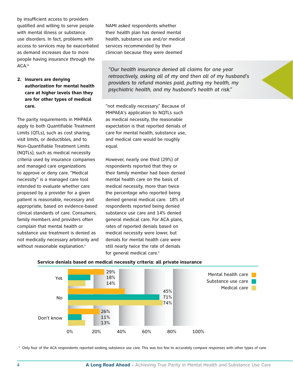by insufficient access to providers qualified and willing to serve people with mental illness or substance use disorders. In fact, problems with access to services may be exacerbated as demand increases due to more people having insurance through the ACA.ix

#### **2. Insurers are denying authorization for mental health care at higher levels than they are for other types of medical care.**

The parity requirements in MHPAEA apply to both Quantifiable Treatment Limits (QTLs), such as cost sharing, visit limits, or deductibles, and to Non-Quantifiable Treatment Limits (NQTLs), such as medical necessity criteria used by insurance companies and managed care organizations to approve or deny care. "Medical necessity" is a managed care tool intended to evaluate whether care proposed by a provider for a given patient is reasonable, necessary and appropriate, based on evidence-based clinical standards of care. Consumers, family members and providers often complain that mental health or substance use treatment is denied as not medically necessary arbitrarily and without reasonable explanation.<sup>x</sup>

NAMI asked respondents whether their health plan has denied mental health, substance use and/or medical services recommended by their clinician because they were deemed

*"Our health insurance denied all claims for one year retroactively, asking all of my and then all of my husband's providers to refund monies paid, putting my health, my psychiatric health, and my husband's health at risk."* 

"not medically necessary." Because of MHPAEA's application to NQTLs such as medical necessity, the reasonable expectation is that reported denials of care for mental health, substance use, and medical care would be roughly equal.

However, nearly one third (29%) of respondents reported that they or their family member had been denied mental health care on the basis of medical necessity, more than twice the percentage who reported being denied general medical care. 18% of respondents reported being denied substance use care and 14% denied general medical care. For ACA plans, rates of reported denials based on medical necessity were lower, but denials for mental health care were still nearly twice the rate of denials for general medical care.<sup>1</sup>



#### **Service denials based on medical necessity criteria: all private insurance**

<sup>1</sup> Only four of the ACA respondents reported seeking substance use care. This was too few to accurately compare responses with other types of care.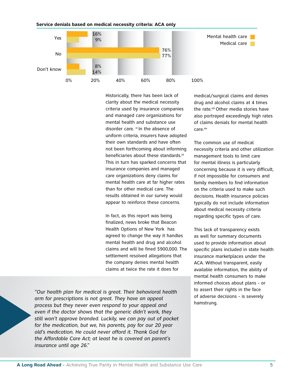

**Service denials based on medical necessity criteria: ACA only**

Historically, there has been lack of clarity about the medical necessity criteria used by insurance companies and managed care organizations for mental health and substance use disorder care.  $x_i$  In the absence of uniform criteria, insurers have adopted their own standards and have often not been forthcoming about informing beneficiaries about these standards.<sup>xii</sup> This in turn has sparked concerns that insurance companies and managed care organizations deny claims for mental health care at far higher rates than for other medical care. The results obtained in our survey would appear to reinforce these concerns.

In fact, as this report was being finalized, news broke that Beacon Health Options of New York has agreed to change the way it handles mental health and drug and alcohol claims and will be fined \$900,000. The settlement resolved allegations that the company denies mental health claims at twice the rate it does for

*"Our health plan for medical is great. Their behavioral health arm for prescriptions is not great. They have an appeal process but they never even respond to your appeal and even if the doctor shows that the generic didn't work, they still won't approve branded. Luckily, we can pay out of pocket for the medication, but we, his parents, pay for our 20 year old's medication. He could never afford it. Thank God for the Affordable Care Act; at least he is covered on parent's insurance until age 26."*

medical/surgical claims and denies drug and alcohol claims at 4 times the rate.<sup>xiii</sup> Other media stories have also portrayed exceedingly high rates of claims denials for mental health care.xiv

The common use of medical necessity criteria and other utilization management tools to limit care for mental illness is particularly concerning because it is very difficult, if not impossible for consumers and family members to find information on the criteria used to make such decisions. Health insurance policies typically do not include information about medical necessity criteria regarding specific types of care.

This lack of transparency exists as well for summary documents used to provide information about specific plans included in state health insurance marketplaces under the ACA. Without transparent, easily available information, the ability of mental health consumers to make informed choices about plans - or to assert their rights in the face of adverse decisions - is severely hamstrung.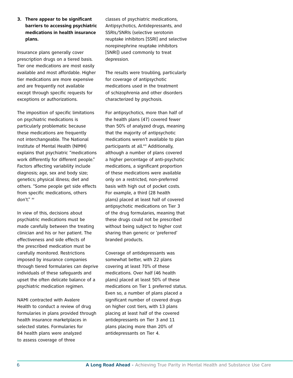**3. There appear to be significant barriers to accessing psychiatric medications in health insurance plans.** 

Insurance plans generally cover prescription drugs on a tiered basis. Tier one medications are most easily available and most affordable. Higher tier medications are more expensive and are frequently not available except through specific requests for exceptions or authorizations.

The imposition of specific limitations on psychiatric medications is particularly problematic because these medications are frequently not interchangeable. The National Institute of Mental Health (NIMH) explains that psychiatric "medications work differently for different people." Factors affecting variability include diagnosis; age, sex and body size; genetics; physical illness; diet and others. "Some people get side effects from specific medications, others don't." xv

In view of this, decisions about psychiatric medications must be made carefully between the treating clinician and his or her patient. The effectiveness and side effects of the prescribed medication must be carefully monitored. Restrictions imposed by insurance companies through tiered formularies can deprive individuals of these safeguards and upset the often delicate balance of a psychiatric medication regimen.

NAMI contracted with Avalere Health to conduct a review of drug formularies in plans provided through health insurance marketplaces in selected states. Formularies for 84 health plans were analyzed to assess coverage of three

classes of psychiatric medications, Antipsychotics, Antidepressants, and SSRIs/SNRIs (selective serotonin reuptake inhibitors [SSRI] and selective norepinephrine reuptake inhibitors [SNRI]) used commonly to treat depression.

The results were troubling, particularly for coverage of antipsychotic medications used in the treatment of schizophrenia and other disorders characterized by psychosis.

For antipsychotics, more than half of the health plans (47) covered fewer than 50% of analyzed drugs, meaning that the majority of antipsychotic medications weren't available to plan participants at all.<sup>xvi</sup> Additionally, although a number of plans covered a higher percentage of anti-psychotic medications, a significant proportion of these medications were available only on a restricted, non-preferred basis with high out of pocket costs. For example, a third (28 health plans) placed at least half of covered antipsychotic medications on Tier 3 of the drug formularies, meaning that these drugs could not be prescribed without being subject to higher cost sharing than generic or 'preferred' branded products.

Coverage of antidepressants was somewhat better, with 22 plans covering at least 70% of these medications. Over half (46 health plans) placed at least 50% of these medications on Tier 1 preferred status. Even so, a number of plans placed a significant number of covered drugs on higher cost tiers, with 13 plans placing at least half of the covered antidepressants on Tier 3 and 11 plans placing more than 20% of antidepressants on Tier 4.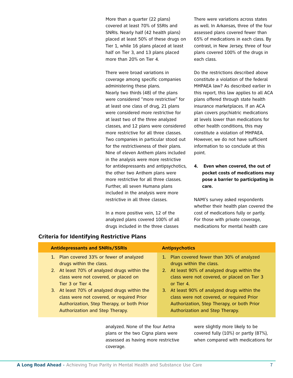More than a quarter (22 plans) covered at least 70% of SSRIs and SNRIs. Nearly half (42 health plans) placed at least 50% of these drugs on Tier 1, while 16 plans placed at least half on Tier 3, and 13 plans placed more than 20% on Tier 4.

There were broad variations in coverage among specific companies administering these plans. Nearly two thirds (48) of the plans were considered "more restrictive" for at least one class of drug, 21 plans were considered more restrictive for at least two of the three analyzed classes, and 12 plans were considered more restrictive for all three classes. Two companies in particular stood out for the restrictiveness of their plans. Nine of eleven Anthem plans included in the analysis were more restrictive for antidepressants and antipsychotics, the other two Anthem plans were more restrictive for all three classes. Further, all seven Humana plans included in the analysis were more restrictive in all three classes.

In a more positive vein, 12 of the analyzed plans covered 100% of all drugs included in the three classes

There were variations across states as well. In Arkansas, three of the four assessed plans covered fewer than 65% of medications in each class. By contrast, in New Jersey, three of four plans covered 100% of the drugs in each class.

Do the restrictions described above constitute a violation of the federal MHPAEA law? As described earlier in this report, this law applies to all ACA plans offered through state health insurance marketplaces. If an ACA plan covers psychiatric medications at levels lower than medications for other health conditions, this may constitute a violation of MHPAEA. However, we do not have sufficient information to so conclude at this point.

**4. Even when covered, the out of pocket costs of medications may pose a barrier to participating in care.** 

NAMI's survey asked respondents whether their health plan covered the cost of medications fully or partly. For those with private coverage, medications for mental health care

| <b>Antidepressants and SNRIs/SSRIs</b>       | <b>Antipsychotics</b>                        |
|----------------------------------------------|----------------------------------------------|
| 1. Plan covered 33% or fewer of analyzed     | 1. Plan covered fewer than 30% of analyzed   |
| drugs within the class.                      | drugs within the class.                      |
| 2. At least 70% of analyzed drugs within the | 2. At least 90% of analyzed drugs within the |
| class were not covered, or placed on         | class were not covered, or placed on Tier 3  |
| Tier 3 or Tier 4.                            | or Tier 4.                                   |
| 3. At least 70% of analyzed drugs within the | 3. At least 90% of analyzed drugs within the |
| class were not covered, or required Prior    | class were not covered, or required Prior    |
| Authorization, Step Therapy, or both Prior   | Authorization, Step Therapy, or both Prior   |
| Authorization and Step Therapy.              | Authorization and Step Therapy.              |

analyzed. None of the four Aetna plans or the two Cigna plans were assessed as having more restrictive coverage.

were slightly more likely to be covered fully (10%) or partly (87%), when compared with medications for

**Criteria for Identifying Restrictive Plans**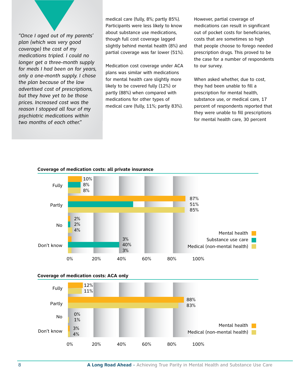*"Once I aged out of my parents' plan (which was very good coverage) the cost of my medications tripled. I could no longer get a three-month supply for meds I had been on for years, only a one-month supply. I chose the plan because of the low advertised cost of prescriptions, but they have yet to be those prices. Increased cost was the reason I stopped all four of my psychiatric medications within two months of each other."* 

medical care (fully, 8%; partly 85%). Participants were less likely to know about substance use medications, though full cost coverage lagged slightly behind mental health (8%) and partial coverage was far lower (51%).

Medication cost coverage under ACA plans was similar with medications for mental health care slightly more likely to be covered fully (12%) or partly (88%) when compared with medications for other types of medical care (fully, 11%; partly 83%).

However, partial coverage of medications can result in significant out of pocket costs for beneficiaries, costs that are sometimes so high that people choose to forego needed prescription drugs. This proved to be the case for a number of respondents to our survey.

When asked whether, due to cost, they had been unable to fill a prescription for mental health, substance use, or medical care, 17 percent of respondents reported that they were unable to fill prescriptions for mental health care, 30 percent







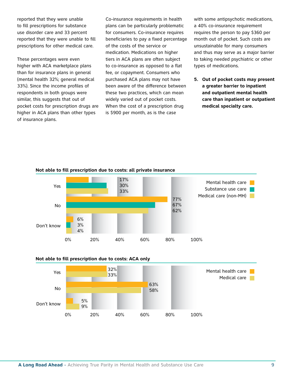reported that they were unable to fill prescriptions for substance use disorder care and 33 percent reported that they were unable to fill prescriptions for other medical care.

These percentages were even higher with ACA marketplace plans than for insurance plans in general (mental health 32%; general medical 33%). Since the income profiles of respondents in both groups were similar, this suggests that out of pocket costs for prescription drugs are higher in ACA plans than other types of insurance plans.

Co-insurance requirements in health plans can be particularly problematic for consumers. Co-insurance requires beneficiaries to pay a fixed percentage of the costs of the service or medication. Medications on higher tiers in ACA plans are often subject to co-insurance as opposed to a flat fee, or copayment. Consumers who purchased ACA plans may not have been aware of the difference between these two practices, which can mean widely varied out of pocket costs. When the cost of a prescription drug is \$900 per month, as is the case

with some antipsychotic medications, a 40% co-insurance requirement requires the person to pay \$360 per month out of pocket. Such costs are unsustainable for many consumers and thus may serve as a major barrier to taking needed psychiatric or other types of medications.

**5. Out of pocket costs may present a greater barrier to inpatient and outpatient mental health care than inpatient or outpatient medical specialty care.** 







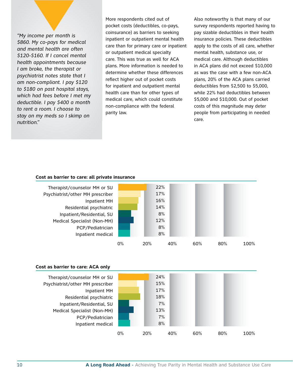*"My income per month is \$860. My co-pays for medical and mental health are often \$120-\$160. If I cancel mental health appointments because I am broke, the therapist or psychiatrist notes state that I am non-compliant. I pay \$120 to \$180 on past hospital stays, which had fees before I met my deductible. I pay \$400 a month to rent a room. I choose to stay on my meds so I skimp on nutrition."*

More respondents cited out of pocket costs (deductibles, co-pays, coinsurance) as barriers to seeking inpatient or outpatient mental health care than for primary care or inpatient or outpatient medical specialty care. This was true as well for ACA plans. More information is needed to determine whether these differences reflect higher out of pocket costs for inpatient and outpatient mental health care than for other types of medical care, which could constitute non-compliance with the federal parity law.

Also noteworthy is that many of our survey respondents reported having to pay sizable deductibles in their health insurance policies. These deductibles apply to the costs of all care, whether mental health, substance use, or medical care. Although deductibles in ACA plans did not exceed \$10,000 as was the case with a few non-ACA plans, 20% of the ACA plans carried deductibles from \$2,500 to \$5,000, while 22% had deductibles between \$5,000 and \$10,000. Out of pocket costs of this magnitude may deter people from participating in needed care.

#### **Cost as barrier to care: all private insurance**



#### **Cost as barrier to care: ACA only**



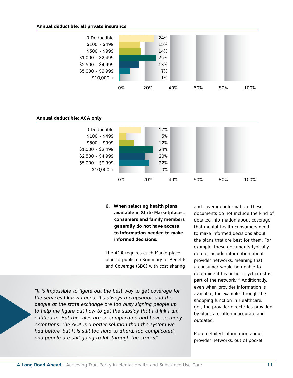#### **Annual deductible: all private insurance**





#### **Annual deductible: ACA only**

**6. When selecting health plans available in State Marketplaces, consumers and family members generally do not have access to information needed to make informed decisions.**

The ACA requires each Marketplace plan to publish a Summary of Benefits and Coverage (SBC) with cost sharing

*"It is impossible to figure out the best way to get coverage for the services I know I need. It's always a crapshoot, and the people at the state exchange are too busy signing people up to help me figure out how to get the subsidy that I think I am entitled to. But the rules are so complicated and have so many exceptions. The ACA is a better solution than the system we had before, but it is still too hard to afford, too complicated, and people are still going to fall through the cracks."* 

and coverage information. These documents do not include the kind of detailed information about coverage that mental health consumers need to make informed decisions about the plans that are best for them. For example, these documents typically do not include information about provider networks, meaning that a consumer would be unable to determine if his or her psychiatrist is part of the network.<sup>xvii</sup> Additionally, even when provider information is available, for example through the shopping function in Healthcare. gov, the provider directories provided by plans are often inaccurate and outdated.

More detailed information about provider networks, out of pocket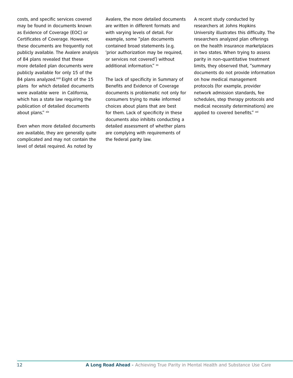costs, and specific services covered may be found in documents known as Evidence of Coverage (EOC) or Certificates of Coverage. However, these documents are frequently not publicly available. The Avalere analysis of 84 plans revealed that these more detailed plan documents were publicly available for only 15 of the 84 plans analyzed.<sup>xviii</sup> Eight of the 15 plans for which detailed documents were available were in California, which has a state law requiring the publication of detailed documents about plans." xix

Even when more detailed documents are available, they are generally quite complicated and may not contain the level of detail required. As noted by

Avalere, the more detailed documents are written in different formats and with varying levels of detail. For example, some "plan documents contained broad statements (e.g. 'prior authorization may be required, or services not covered') without additional information." xx

The lack of specificity in Summary of Benefits and Evidence of Coverage documents is problematic not only for consumers trying to make informed choices about plans that are best for them. Lack of specificity in these documents also inhibits conducting a detailed assessment of whether plans are complying with requirements of the federal parity law.

A recent study conducted by researchers at Johns Hopkins University illustrates this difficulty. The researchers analyzed plan offerings on the health insurance marketplaces in two states. When trying to assess parity in non-quantitative treatment limits, they observed that, "summary documents do not provide information on how medical management protocols (for example, provider network admission standards, fee schedules, step therapy protocols and medical necessity determinations) are applied to covered benefits." xxi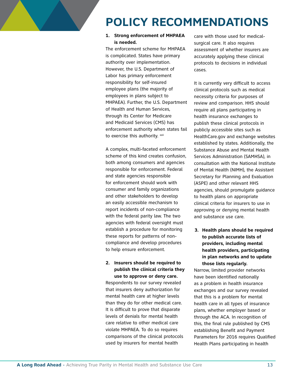## **POLICY RECOMMENDATIONS**

#### **1. Strong enforcement of MHPAEA is needed.**

The enforcement scheme for MHPAEA is complicated. States have primary authority over implementation. However, the U.S. Department of Labor has primary enforcement responsibility for self-insured employee plans (the majority of employees in plans subject to MHPAEA). Further, the U.S. Department of Health and Human Services, through its Center for Medicare and Medicaid Services (CMS) has enforcement authority when states fail to exercise this authority. xxii

A complex, multi-faceted enforcement scheme of this kind creates confusion, both among consumers and agencies responsible for enforcement. Federal and state agencies responsible for enforcement should work with consumer and family organizations and other stakeholders to develop an easily accessible mechanism to report incidents of non-compliance with the federal parity law. The two agencies with federal oversight must establish a procedure for monitoring these reports for patterns of noncompliance and develop procedures to help ensure enforcement.

#### **2. Insurers should be required to publish the clinical criteria they use to approve or deny care.**

Respondents to our survey revealed that insurers deny authorization for mental health care at higher levels than they do for other medical care. It is difficult to prove that disparate levels of denials for mental health care relative to other medical care violate MHPAEA. To do so requires comparisons of the clinical protocols used by insurers for mental health

care with those used for medicalsurgical care. It also requires assessment of whether insurers are accurately applying these clinical protocols to decisions in individual cases.

It is currently very difficult to access clinical protocols such as medical necessity criteria for purposes of review and comparison. HHS should require all plans participating in health insurance exchanges to publish these clinical protocols in publicly accessible sites such as HealthCare.gov and exchange websites established by states. Additionally, the Substance Abuse and Mental Health Services Administration (SAMHSA), in consultation with the National Institute of Mental Health (NIMH), the Assistant Secretary for Planning and Evaluation (ASPE) and other relevant HHS agencies, should promulgate guidance to health plans on appropriate clinical criteria for insurers to use in approving or denying mental health and substance use care.

**3. Health plans should be required to publish accurate lists of providers, including mental health providers, participating in plan networks and to update those lists regularly.**

Narrow, limited provider networks have been identified nationally as a problem in health insurance exchanges and our survey revealed that this is a problem for mental health care in all types of insurance plans, whether employer based or through the ACA. In recognition of this, the final rule published by CMS establishing Benefit and Payment Parameters for 2016 requires Qualified Health Plans participating in health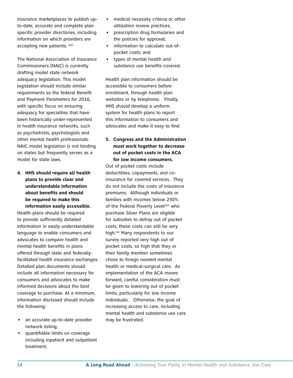insurance marketplaces to publish upto-date, accurate and complete plan specific provider directories, including information on which providers are accepting new patients. xxiii

The National Association of Insurance Commissioners (NAIC) is currently drafting model state network adequacy legislation. This model legislation should include similar requirements as the federal Benefit and Payment Parameters for 2016, with specific focus on ensuring adequacy for specialties that have been historically under-represented in health insurance networks, such as psychiatrists, psychologists and other mental health professionals. NAIC model legislation is not binding on states but frequently serves as a model for state laws.

#### **4. HHS should require all health plans to provide clear and understandable information about benefits and should be required to make this information easily accessible.**

Health plans should be required to provide sufficiently detailed information in easily understandable language to enable consumers and advocates to compare health and mental health benefits in plans offered through state and federallyfacilitated health insurance exchanges. Detailed plan documents should include all information necessary for consumers and advocates to make informed decisions about the best coverage to purchase. At a minimum, information disclosed should include the following:

- an accurate up-to-date provider network listing;
- quantifiable limits on coverage including inpatient and outpatient treatment;
- medical necessity criteria or other utilization review practices;
- • prescription drug formularies and the policies for approval;
- information to calculate out-ofpocket costs; and
- types of mental health and substance use benefits covered.

Health plan information should be accessible to consumers before enrollment, through health plan websites or by telephone. Finally, HHS should develop a uniform system for health plans to report this information to consumers and advocates and make it easy to find.

#### **5. Congress and the Administration must work together to decrease out of pocket costs in the ACA for low income consumers.**

Out of pocket costs include deductibles, copayments, and coinsurance for covered services. They do not include the costs of insurance premiums. Although individuals or families with incomes below 250% of the Federal Poverty Levelxxiv who purchase Silver Plans are eligible for subsidies to defray out of pocket costs, these costs can still be very high.<sup>xxv</sup> Many respondents to our survey reported very high out of pocket costs, so high that they or their family member sometimes chose to forego needed mental health or medical-surgical care. As implementation of the ACA moves forward, careful consideration must be given to lowering out of pocket limits, particularly for low income individuals. Otherwise, the goal of increasing access to care, including mental health and substance use care may be frustrated.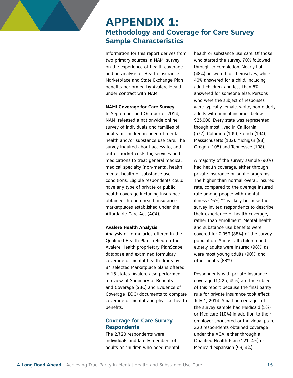## **APPENDIX 1: Methodology and Coverage for Care Survey Sample Characteristics**

Information for this report derives from two primary sources, a NAMI survey on the experience of health coverage and an analysis of Health Insurance Marketplace and State Exchange Plan benefits performed by Avalere Health under contract with NAMI.

#### **NAMI Coverage for Care Survey**

In September and October of 2014, NAMI released a nationwide online survey of individuals and families of adults or children in need of mental health and/or substance use care. The survey inquired about access to, and out of pocket costs for, services and medications to treat general medical, medical specialty (non-mental health), mental health or substance use conditions. Eligible respondents could have any type of private or public health coverage including insurance obtained through health insurance marketplaces established under the Affordable Care Act (ACA).

#### **Avalere Health Analysis**

Analysis of formularies offered in the Qualified Health Plans relied on the Avalere Health proprietary PlanScape database and examined formulary coverage of mental health drugs by 84 selected Marketplace plans offered in 15 states. Avalere also performed a review of Summary of Benefits and Coverage (SBC) and Evidence of Coverage (EOC) documents to compare coverage of mental and physical health benefits.

#### **Coverage for Care Survey Respondents**

The 2,720 respondents were individuals and family members of adults or children who need mental health or substance use care. Of those who started the survey, 70% followed through to completion. Nearly half (48%) answered for themselves, while 40% answered for a child, including adult children, and less than 5% answered for someone else. Persons who were the subject of responses were typically female, white, non-elderly adults with annual incomes below \$25,000. Every state was represented, though most lived in California (577), Colorado (105), Florida (194), Massachusetts (102), Michigan (98), Oregon (105) and Tennessee (108).

A majority of the survey sample (90%) had health coverage, either through private insurance or public programs. The higher than normal overall insured rate, compared to the average insured rate among people with mental illness  $(76%)$ , xxvi is likely because the survey invited respondents to describe their experience of health coverage, rather than enrollment. Mental health and substance use benefits were covered for 2,059 (88%) of the survey population. Almost all children and elderly adults were insured (98%) as were most young adults (90%) and other adults (88%).

Respondents with private insurance coverage (1,225, 45%) are the subject of this report because the final parity rule for private insurance took effect July 1, 2014. Small percentages of the survey sample had Medicaid (5%) or Medicare (10%) in addition to their employer sponsored or individual plan. 220 respondents obtained coverage under the ACA, either through a Qualified Health Plan (121, 4%) or Medicaid expansion (99, 4%).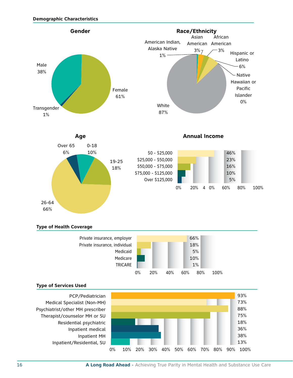

#### **Type of Health Coverage**



#### **Type of Services Used**



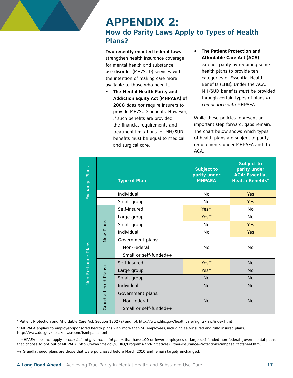### **APPENDIX 2: How do Parity Laws Apply to Types of Health Plans?**

**Two recently enacted federal laws**  strengthen health insurance coverage for mental health and substance use disorder (MH/SUD) services with the intention of making care more available to those who need it.

- **The Mental Health Parity and Addiction Equity Act (MHPAEA) of 2008** *does not* require insurers to provide MH/SUD benefits. However, *if* such benefits are provided, the financial requirements and treatment limitations for MH/SUD benefits must be equal to medical and surgical care.
- **The Patient Protection and Affordable Care Act (ACA)** extends parity by requiring some health plans to provide ten categories of Essential Health Benefits (EHB). Under the ACA, MH/SUD benefits *must* be provided through certain types of plans *in*

While these policies represent an important step forward, gaps remain. The chart below shows which types of health plans are subject to parity requirements under MHPAEA and the ACA.

*compliance with* MHPAEA.

|                                                                                   | Exchange Plans     | <b>Type of Plan</b>                                        |                                                                                                                                                                                                                                                                                         | <b>Subject to</b><br>parity under<br><b>MHPAEA</b> | <b>Subject to</b><br>parity under<br><b>ACA: Essential</b><br><b>Health Benefits*</b> |
|-----------------------------------------------------------------------------------|--------------------|------------------------------------------------------------|-----------------------------------------------------------------------------------------------------------------------------------------------------------------------------------------------------------------------------------------------------------------------------------------|----------------------------------------------------|---------------------------------------------------------------------------------------|
|                                                                                   |                    | Individual                                                 |                                                                                                                                                                                                                                                                                         | No                                                 | <b>Yes</b>                                                                            |
|                                                                                   |                    |                                                            | Small group                                                                                                                                                                                                                                                                             | No                                                 | <b>Yes</b>                                                                            |
|                                                                                   |                    | New Plans                                                  | Self-insured                                                                                                                                                                                                                                                                            | Yes**                                              | No                                                                                    |
|                                                                                   |                    |                                                            | Large group                                                                                                                                                                                                                                                                             | Yes**                                              | <b>No</b>                                                                             |
|                                                                                   |                    |                                                            | Small group                                                                                                                                                                                                                                                                             | No                                                 | <b>Yes</b>                                                                            |
|                                                                                   |                    |                                                            | Individual                                                                                                                                                                                                                                                                              | No                                                 | <b>Yes</b>                                                                            |
|                                                                                   |                    |                                                            | Government plans:                                                                                                                                                                                                                                                                       |                                                    |                                                                                       |
|                                                                                   | Non-Exchange Plans |                                                            | Non-Federal                                                                                                                                                                                                                                                                             | <b>No</b>                                          | No                                                                                    |
|                                                                                   |                    |                                                            | Small or self-funded++                                                                                                                                                                                                                                                                  |                                                    |                                                                                       |
|                                                                                   |                    | Grandfathered Plans+                                       | Self-insured                                                                                                                                                                                                                                                                            | Yes**                                              | <b>No</b>                                                                             |
|                                                                                   |                    |                                                            | Large group                                                                                                                                                                                                                                                                             | Yes**                                              | <b>No</b>                                                                             |
|                                                                                   |                    |                                                            | Small group                                                                                                                                                                                                                                                                             | <b>No</b>                                          | <b>No</b>                                                                             |
|                                                                                   |                    |                                                            | Individual                                                                                                                                                                                                                                                                              | <b>No</b>                                          | <b>No</b>                                                                             |
|                                                                                   |                    | Government plans:<br>Non-federal<br>Small or self-funded++ | <b>No</b>                                                                                                                                                                                                                                                                               | <b>No</b>                                          |                                                                                       |
|                                                                                   |                    |                                                            | * Patient Protection and Affordable Care Act, Section 1302 (a) and (b): http://www.hhs.gov/healthcare/rights/law/index.html                                                                                                                                                             |                                                    |                                                                                       |
| http://www.dol.gov/ebsa/newsroom/fsmhpaea.html                                    |                    |                                                            | ** MHPAEA applies to employer-sponsored health plans with more than 50 employees, including self-insured and fully insured plans:                                                                                                                                                       |                                                    |                                                                                       |
|                                                                                   |                    |                                                            | + MHPAEA does not apply to non-federal governmental plans that have 100 or fewer employees or large self-funded non-federal governmental plans<br>that choose to opt out of MHPAEA: http://www.cms.gov/CCIIO/Programs-and-Initiatives/Other-Insurance-Protections/mhpaea_factsheet.html |                                                    |                                                                                       |
|                                                                                   |                    |                                                            | ++ Grandfathered plans are those that were purchased before March 2010 and remain largely unchanged.                                                                                                                                                                                    |                                                    |                                                                                       |
| A Long Road Ahead - Achieving True Parity in Mental Health and Substance Use Care |                    |                                                            |                                                                                                                                                                                                                                                                                         |                                                    | 17 <sub>2</sub>                                                                       |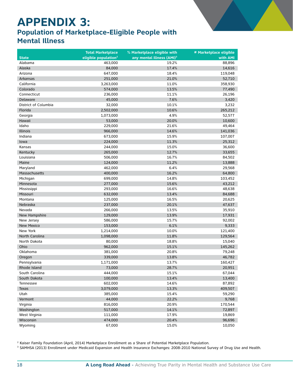## **APPENDIX 3:**

### **Population of Marketplace-Eligible People with Mental Illness**

|                      | <b>Total Marketplace</b>         | % Marketplace eligible with           | # Marketplace eligible |
|----------------------|----------------------------------|---------------------------------------|------------------------|
| <b>State</b>         | eligible population <sup>2</sup> | any mental illness (AMI) <sup>3</sup> | with AMI               |
| Alabama              | 463,000                          | 19.2%                                 | 88,896                 |
| Alaska               | 84,000                           | 17.4%                                 | 14,616                 |
| Arizona              | 647,000                          | 18.4%                                 | 119,048                |
| Arkansas             | 251,000                          | 21.0%                                 | 52,710                 |
| California           | 3,263,000                        | 11.0%                                 | 358,930                |
| Colorado             | 574,000                          | 13.5%                                 | 77,490                 |
| Connecticut          | 236,000                          | 11.1%                                 | 26,196                 |
| Delaware             | 45,000                           | 7.6%                                  | 3,420                  |
| District of Columbia | 32,000                           | 10.1%                                 | 3,232                  |
| Florida              | 2,502,000                        | 10.6%                                 | 265,212                |
| Georgia              | 1,073,000                        | 4.9%                                  | 52,577                 |
| Hawaii               | 53,000                           | 20.0%                                 | 10,600                 |
| Idaho                | 229,000                          | 21.6%                                 | 49,464                 |
| <b>Illinois</b>      | 966,000                          | 14.6%                                 | 141,036                |
| Indiana              | 673,000                          | 15.9%                                 | 107,007                |
| lowa                 | 224,000                          | 11.3%                                 | 25,312                 |
| Kansas               | 244,000                          | 15.0%                                 | 36,600                 |
| Kentucky             | 265,000                          | 12.7%                                 | 33,655                 |
| Louisiana            | 506,000                          | 16.7%                                 | 84,502                 |
| Maine                | 124,000                          | 11.2%                                 | 13,888                 |
| Maryland             | 462,000                          | 6.4%                                  | 29,568                 |
| Massachusetts        | 400,000                          | 16.2%                                 | 64,800                 |
| Michigan             | 699,000                          | 14.8%                                 | 103,452                |
| Minnesota            | 277,000                          | 15.6%                                 | 43,212                 |
| Mississippi          | 293,000                          | 16.6%                                 | 48,638                 |
| Missouri             | 632,000                          | 13.4%                                 | 84,688                 |
| Montana              | 125,000                          | 16.5%                                 | 20,625                 |
| Nebraska             | 237,000                          | 20.1%                                 | 47,637                 |
| Nevada               | 266,000                          | 13.5%                                 | 35,910                 |
| New Hampshire        | 129,000                          | 13.9%                                 | 17,931                 |
| New Jersey           | 586,000                          | 15.7%                                 | 92,002                 |
| <b>New Mexico</b>    | 153,000                          | 6.1%                                  | 9,333                  |
| New York             | 1,214,000                        | 10.0%                                 | 121,400                |
| North Carolina       | 1,098,000                        | 11.8%                                 | 129,564                |
| North Dakota         | 80,000                           | 18.8%                                 | 15,040                 |
| Ohio                 | 962,000                          | 15.1%                                 | 145,262                |
| Oklahoma             | 381,000                          | 20.8%                                 | 79,248                 |
| Oregon               | 339,000                          | 13.8%                                 | 46,782                 |
| Pennsylvania         | 1,171,000                        | 13.7%                                 | 160,427                |
| Rhode Island         | 73,000                           | 28.7%                                 | 20,951                 |
| South Carolina       | 444,000                          | 15.1%                                 | 67,044                 |
| South Dakota         | 100,000                          | 13.4%                                 | 13,400                 |
| Tennessee            | 602,000                          | 14.6%                                 | 87,892                 |
| Texas                | 3,079,000                        | 13.3%                                 | 409,507                |
| Utah                 | 385,000                          | 15.4%                                 | 59,290                 |
| Vermont              | 44,000                           | 22.2%                                 | 9,768                  |
| Virginia             | 816,000                          | 20.9%                                 | 170,544                |
| Washington           | 517,000                          | 14.1%                                 | 72,897                 |
| West Virginia        | 111,000                          | 17.9%                                 | 19,869                 |
| Wisconsin            | 474,000                          | 20.4%                                 | 96,696                 |
| Wyoming              | 67,000                           | 15.0%                                 | 10,050                 |
|                      |                                  |                                       |                        |

2 Kaiser Family Foundation (April, 2014) Marketplace Enrollment as a Share of Potential Marketplace Population.

3 SAMHSA (2013) Enrollment under Medicaid Expansion and Health Insurance Exchanges: 2008-2010 National Survey of Drug Use and Health.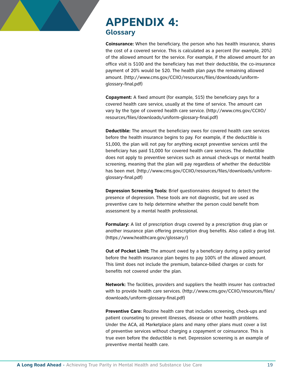## **APPENDIX 4: Glossary**

**Coinsurance:** When the beneficiary, the person who has health insurance, shares the cost of a covered service. This is calculated as a percent (for example, 20%) of the allowed amount for the service. For example, if the allowed amount for an office visit is \$100 and the beneficiary has met their deductible, the co-insurance payment of 20% would be \$20. The health plan pays the remaining allowed amount. (http://www.cms.gov/CCIIO/resources/files/downloads/uniformglossary-final.pdf)

**Copayment:** A fixed amount (for example, \$15) the beneficiary pays for a covered health care service, usually at the time of service. The amount can vary by the type of covered health care service. (http://www.cms.gov/CCIIO/ resources/files/downloads/uniform-glossary-final.pdf)

**Deductible:** The amount the beneficiary owes for covered health care services before the health insurance begins to pay. For example, if the deductible is \$1,000, the plan will not pay for anything except preventive services until the beneficiary has paid \$1,000 for covered health care services. The deductible does not apply to preventive services such as annual check-ups or mental health screening, meaning that the plan will pay regardless of whether the deductible has been met. (http://www.cms.gov/CCIIO/resources/files/downloads/uniformglossary-final.pdf)

**Depression Screening Tools:** Brief questionnaires designed to detect the presence of depression. These tools are not diagnostic, but are used as preventive care to help determine whether the person could benefit from assessment by a mental health professional.

**Formulary:** A list of prescription drugs covered by a prescription drug plan or another insurance plan offering prescription drug benefits. Also called a drug list. (https://www.healthcare.gov/glossary/)

**Out of Pocket Limit:** The amount owed by a beneficiary during a policy period before the health insurance plan begins to pay 100% of the allowed amount. This limit does not include the premium, balance-billed charges or costs for benefits not covered under the plan.

**Network:** The facilities, providers and suppliers the health insurer has contracted with to provide health care services. (http://www.cms.gov/CCIIO/resources/files/ downloads/uniform-glossary-final.pdf)

**Preventive Care:** Routine health care that includes screening, check-ups and patient counseling to prevent illnesses, disease or other health problems. Under the ACA, all Marketplace plans and many other plans must cover a list of preventive services without charging a copayment or coinsurance. This is true even before the deductible is met. Depression screening is an example of preventive mental health care.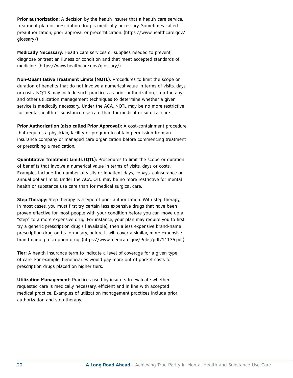**Prior authorization:** A decision by the health insurer that a health care service, treatment plan or prescription drug is medically necessary. Sometimes called preauthorization, prior approval or precertification. (https://www.healthcare.gov/ glossary/)

**Medically Necessary:** Health care services or supplies needed to prevent, diagnose or treat an illness or condition and that meet accepted standards of medicine. (https://www.healthcare.gov/glossary/)

**Non-Quantitative Treatment Limits (NQTL):** Procedures to limit the scope or duration of benefits that do not involve a numerical value in terms of visits, days or costs. NQTLS may include such practices as prior authorization, step therapy and other utilization management techniques to determine whether a given service is medically necessary. Under the ACA, NQTL may be no more restrictive for mental health or substance use care than for medical or surgical care.

**Prior Authorization (also called Prior Approval):** A cost-containment procedure that requires a physician, facility or program to obtain permission from an insurance company or managed care organization before commencing treatment or prescribing a medication.

**Quantitative Treatment Limits (QTL):** Procedures to limit the scope or duration of benefits that involve a numerical value in terms of visits, days or costs. Examples include the number of visits or inpatient days, copays, coinsurance or annual dollar limits. Under the ACA, QTL may be no more restrictive for mental health or substance use care than for medical surgical care.

**Step Therapy:** Step therapy is a type of prior authorization. With step therapy, in most cases, you must first try certain less expensive drugs that have been proven effective for most people with your condition before you can move up a "step" to a more expensive drug. For instance, your plan may require you to first try a generic prescription drug (if available), then a less expensive brand-name prescription drug on its formulary, before it will cover a similar, more expensive brand-name prescription drug. (https://www.medicare.gov/Pubs/pdf/11136.pdf)

**Tier:** A health insurance term to indicate a level of coverage for a given type of care. For example, beneficiaries would pay more out of pocket costs for prescription drugs placed on higher tiers.

**Utilization Management:** Practices used by insurers to evaluate whether requested care is medically necessary, efficient and in line with accepted medical practice. Examples of utilization management practices include prior authorization and step therapy.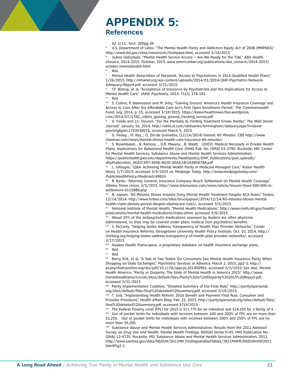## **APPENDIX 5:**

### **References**

#### $\frac{1}{16}$  42. U.S.C. Sect. 300gg-26

 U.S. Department of Labor, "The Mental Health Parity and Addiction Equity Act of 2008 (MHPAEA)," http://www.dol.gov/ebsa/newsroom/fsmhpaea.html, accessed 3/19/2015.

JoAnn Dalrymple, "Mental Health Service Access – Are We Ready for the Tide," ABA Health eSource, 2014-2015, October, 2015, www.americanbar.org/publications/aba\_esource/2014-2015/ october/mentalhealth.html.

Ibid.

Mental Health Association of Maryland, "Access to Psychiatrists in 2014 Qualified Health Plans," 1/26/2015, http://mhamd.org/wp-content/uploads/2014/01/2014-QHP-Psychiatric-Network-Adequacy-Report.pdf, accessed 3/21/2015.

T.F. Bishop, et al, "Acceptance of Insurance by Psychiatrists and the Implications for Access to Mental Health Care," *JAMA Psychiatry*, 2014; 71(2); 176-181.

 $\frac{v_{\text{ii}}}{v_{\text{iii}}}$  Ibid.

S. Collins, P. Rasmussen and M. Doty, "Gaining Ground: America's Health Insurance Coverage and Access to Care After the Affordable Care Act's First Open Enrollment Period," *The Commonwealth Fund*, July, 2014, p. 15, accessed 3/18/2015, https://kaiserhealthnews.files.wordpress. com/2014/07/1760\_collins\_gaining\_ground\_tracking\_survey.pdf

G. Fields and J.C. Dooren, "For the Mentally Ill, Finding Treatment Grows Harder," The Wall Street *Journal*," January 16, 2014, http://obits.al.com/obituaries/birmingham/obituary.aspx?n=davidsperling&pid=174303667&, accessed March 5, 2015.

<sup>x</sup> S.. Pelley, ; M. Rey, ; O. Zill-de Granados, (12/14/2014) Denied. 60 Minutes. CBS http://www. cbsnews.com/news/mental-illness-health-care-insurance-60-minutes/

xi S. Rosenbaum, , B. Kamoie, ., D.R. Mauery, , B. Walitt, . (2003). *Medical Necessity in Private Health Plans: Implications for Behavioral Health Care.* DHHS Pub. No. (SMA) 03-3790. Rockville, MD: Center for Mental Health Services, Substance Abuse and Mental Health Services Administration. *https://publichealth.gwu.edu/departments/healthpolicy/DHP\_Publications/pub\_uploads/ dhpPublication\_3A45C497-5056-9D20-3DAA24F165B5678A.pdf* 

xii L. Gillespie, "Q&A: Achieving Mental Health Parity in Medicaid Managed Care," *Kaiser Health News*, 2/7/2015, accessed 3/5/2015 on *Medpage Today*, *http://www.medpagetoday.com/ PublicHealthPolicy/Medicaid/49924*

xiii R. Karlin, "Attorney General, Insurance Company Reach Settlement on Mental Health Coverage," *Albany Times Union*, 3/5/2015, http://www.timesunion.com/news/article/Insurer-fined-900-000-insettlement-6115886.php

xiv B. Japsen, "60 Minutes Shows Insurers Deny Mental Health Treatment Despite ACA Rules," Forbes, 12/14/2014, http://www.forbes.com/sites/brucejapsen/2014/12/14/60-minutes-shows-mentalhealth-claim-denials-persist-despite-obamacare-rules/, accessed 3/5/2015.

xv National Institute of Mental Health, "Mental Health Medications," http://www.nimh.nih.gov/health/ publications/mental-health-medications/index.shtml, accessed 3/6/2015.

About 25% of the antipsychotic medications assessed by Avalere are often physician administered, so they may be covered under plans medical (non psychiatric) benefits.

xvii S. McCarty, "Helping States Address Transparency of Health Plan Provider Networks," Center on Health Insurance Reforms, Georgetown University Health Policy Institute, Oct. 10, 2014, http:// chirblog.org/helping-states-address-transparency-of-health-plan-provider-networks/, accessed 3/17/2015.

xviii Avalere Health Planscape@, a proprietary database on health insurance exchange plans.

<sup>xx</sup> Ibid.<br><sup>xxi</sup> Berry, K.N., et al, "A Tale of Two States: Do Consumers See Mental Health Insurance Parity When Shopping on State Exchanges," *Psychiatric Services in Advance*, March 2, 2015, pp2-3; http:// ps.psychiatryonline.org/doi/pdf/10.1176/appi.ps.201400582, accessed 3/3/2015; See also, Mental Health America, "Parity or Disparity: The State of Mental Health in America 2015," http://www. mentalhealthamerica.net/sites/default/files/Parity%20or%20Disparity%202015%20Report.pdf, accessed 3/21/2015

xxii Parity Implementation Coalition, "Detailed Summary of the Final Rule," http://parityispersonal. org/sites/default/files/final%20detailed%20summary.pdf, accessed 3/19/2015.

xxiii T. Jost, "Implementing Health Reform: 2016 Benefit and Payment Final Rule, Consumer and Provider Provisions," Health Affairs Blog, Feb. 22, 2015, http://parityispersonal.org/sites/default/files/ final%20detailed%20summary.pdf, accessed 3/19/2015

xxiv The Federal Poverty Level (FPL) for 2015 is \$11,770 for an individual and \$24,250 for a family of 4. xxv Out of pocket limits for individuals with incomes between 100 and 200% of FPL are no more than \$2,250. Out of pocket limits for individuals with incomes between 200% and 250% of FPL are no more than \$5,200.

xxvi Substance Abuse and Mental Health Services Administration, *Results from the 2011 National Survey on Drug Use and Health: Mental Health Findings*, NSDUH Series H-45, HHS Publication No. (SMA) 12-4725. Rockville, MD: Substance Abuse and Mental Health Services Administration, 2012. http://www.samhsa.gov/data/NSDUH/2k11MH\_FindingsandDetTables/2K11MHFR/NSDUHmhfr2011. htm#Fig2-1